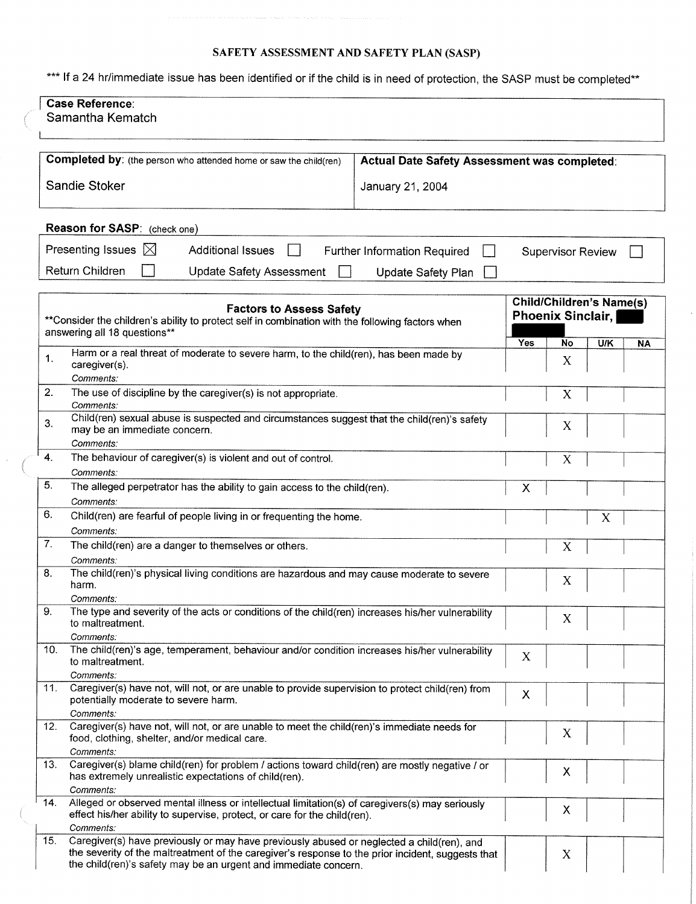#### SAFETY ASSESSMENT AND SAFETY PLAN (SASP)

\*\*\* If a 24 hr/immediate issue has been identified or if the child is in need of protection, the SASP must be completed\*\*

| <b>Case Reference:</b><br>Samantha Kematch                                                                                                                                          |                                              |                                                             |                          |     |           |
|-------------------------------------------------------------------------------------------------------------------------------------------------------------------------------------|----------------------------------------------|-------------------------------------------------------------|--------------------------|-----|-----------|
|                                                                                                                                                                                     |                                              |                                                             |                          |     |           |
|                                                                                                                                                                                     |                                              |                                                             |                          |     |           |
| Completed by: (the person who attended home or saw the child(ren)                                                                                                                   | Actual Date Safety Assessment was completed: |                                                             |                          |     |           |
| Sandie Stoker<br>January 21, 2004                                                                                                                                                   |                                              |                                                             |                          |     |           |
| Reason for SASP: (check one)                                                                                                                                                        |                                              |                                                             |                          |     |           |
| Presenting Issues $\boxtimes$<br><b>Additional Issues</b>                                                                                                                           | Further Information Required                 |                                                             | <b>Supervisor Review</b> |     |           |
| Return Children<br><b>Update Safety Assessment</b>                                                                                                                                  | <b>Update Safety Plan</b>                    |                                                             |                          |     |           |
| <b>Factors to Assess Safety</b><br>** Consider the children's ability to protect self in combination with the following factors when<br>answering all 18 questions**                |                                              | <b>Child/Children's Name(s)</b><br><b>Phoenix Sinclair,</b> |                          |     |           |
| Harm or a real threat of moderate to severe harm, to the child(ren), has been made by                                                                                               |                                              | Yes                                                         | No                       | U/K | <b>NA</b> |
| 1.<br>caregiver(s).<br>Comments:                                                                                                                                                    |                                              |                                                             | X                        |     |           |
| 2.<br>The use of discipline by the caregiver(s) is not appropriate.<br>Comments:                                                                                                    |                                              |                                                             | X                        |     |           |
| Child(ren) sexual abuse is suspected and circumstances suggest that the child(ren)'s safety<br>3.<br>may be an immediate concern.<br>Comments:                                      |                                              |                                                             |                          |     |           |
| $\boldsymbol{4}$ .<br>The behaviour of caregiver(s) is violent and out of control.                                                                                                  |                                              |                                                             | X                        |     |           |
| Comments:<br>5.<br>The alleged perpetrator has the ability to gain access to the child(ren).                                                                                        |                                              | Χ                                                           |                          |     |           |
| Comments:                                                                                                                                                                           |                                              |                                                             |                          |     |           |
| 6.<br>Child(ren) are fearful of people living in or frequenting the home.                                                                                                           |                                              |                                                             |                          | X   |           |
| Comments:<br>7.<br>The child(ren) are a danger to themselves or others.                                                                                                             |                                              |                                                             | X                        |     |           |
| Comments:<br>The child(ren)'s physical living conditions are hazardous and may cause moderate to severe<br>8.                                                                       |                                              |                                                             |                          |     |           |
| harm.                                                                                                                                                                               |                                              |                                                             | Х                        |     |           |
| Comments:<br>9.<br>The type and severity of the acts or conditions of the child(ren) increases his/her vulnerability<br>to maltreatment.                                            |                                              |                                                             | X                        |     |           |
| Comments:<br>The child(ren)'s age, temperament, behaviour and/or condition increases his/her vulnerability<br>10.<br>to maltreatment.                                               |                                              | X                                                           |                          |     |           |
| Comments:                                                                                                                                                                           |                                              |                                                             |                          |     |           |
| Caregiver(s) have not, will not, or are unable to provide supervision to protect child(ren) from<br>11.<br>potentially moderate to severe harm.<br>Comments:                        |                                              | X                                                           |                          |     |           |
| Caregiver(s) have not, will not, or are unable to meet the child(ren)'s immediate needs for<br>12.<br>food, clothing, shelter, and/or medical care.<br>Comments:                    |                                              |                                                             | X                        |     |           |
| Caregiver(s) blame child(ren) for problem / actions toward child(ren) are mostly negative / or<br>13.<br>has extremely unrealistic expectations of child(ren).<br>Comments:         |                                              |                                                             | Х                        |     |           |
| Alleged or observed mental illness or intellectual limitation(s) of caregivers(s) may seriously<br>14.<br>effect his/her ability to supervise, protect, or care for the child(ren). |                                              |                                                             | Χ                        |     |           |
| Comments:<br>15.<br>Caregiver(s) have previously or may have previously abused or neglected a child(ren), and                                                                       |                                              |                                                             |                          |     |           |
| the severity of the maltreatment of the caregiver's response to the prior incident, suggests that<br>the child(ren)'s safety may be an urgent and immediate concern.                |                                              |                                                             | X                        |     |           |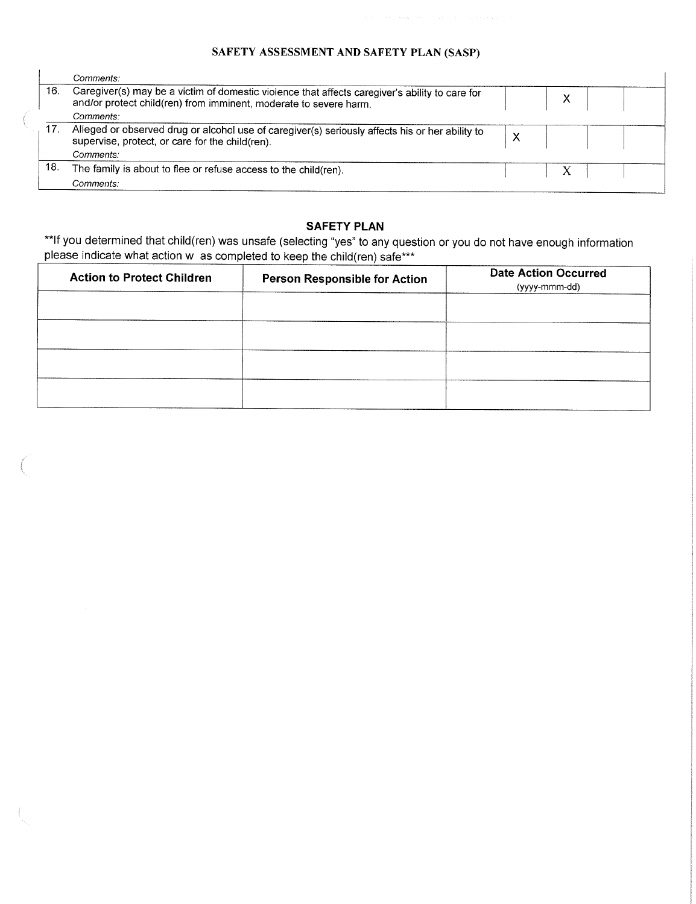# SAFETY ASSESSMENT AND SAFETY PLAN (SASP)

|     | Comments:                                                                                                                                                           |  |  |
|-----|---------------------------------------------------------------------------------------------------------------------------------------------------------------------|--|--|
| 16. | Caregiver(s) may be a victim of domestic violence that affects caregiver's ability to care for<br>and/or protect child(ren) from imminent, moderate to severe harm. |  |  |
|     | Comments:                                                                                                                                                           |  |  |
| 17. | Alleged or observed drug or alcohol use of caregiver(s) seriously affects his or her ability to<br>supervise, protect, or care for the child(ren).                  |  |  |
|     | Comments:                                                                                                                                                           |  |  |
| 18. | The family is about to flee or refuse access to the child(ren).                                                                                                     |  |  |
|     | Comments:                                                                                                                                                           |  |  |

### **SAFETY PLAN**

\*\*lf you determined that child(ren) was unsafe (selecting "yes" to any question or you do not have enough information please indicate what action w as completed to keep the child(ren) safe\*\*\*

| <b>Action to Protect Children</b> | <b>Person Responsible for Action</b> | <b>Date Action Occurred</b><br>(yyyy-mmm-dd) |
|-----------------------------------|--------------------------------------|----------------------------------------------|
|                                   |                                      |                                              |
|                                   |                                      |                                              |
|                                   |                                      |                                              |
|                                   |                                      |                                              |

 $\langle$